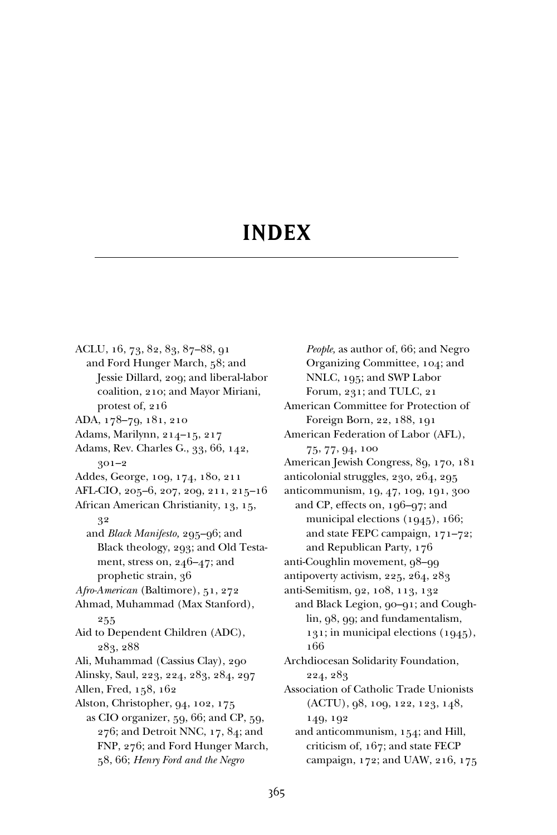## **INDEX**

ACLU, 16, 73, 82, 83, 87–88, 91 and Ford Hunger March, 58; and Jessie Dillard, 209; and liberal-labor coalition, 210; and Mayor Miriani, protest of, 216 ADA, 178–79, 181, 210 Adams, Marilynn, 214–15, 217 Adams, Rev. Charles G., 33, 66, 142, 301–2 Addes, George, 109, 174, 180, 211 AFL-CIO, 205–6, 207, 209, 211, 215–16 African American Christianity, 13, 15, 32 and *Black Manifesto,* 295–96; and Black theology, 293; and Old Testament, stress on, 246–47; and prophetic strain, 36 *Afro-American* (Baltimore), 51, 272 Ahmad, Muhammad (Max Stanford), 255 Aid to Dependent Children (ADC), 283, 288 Ali, Muhammad (Cassius Clay), 290 Alinsky, Saul, 223, 224, 283, 284, 297 Allen, Fred, 158, 162 Alston, Christopher, 94, 102, 175 as CIO organizer, 59, 66; and CP, 59, 276; and Detroit NNC, 17, 84; and FNP, 276; and Ford Hunger March, 58, 66; *Henry Ford and the Negro*

*People,* as author of, 66; and Negro Organizing Committee, 104; and NNLC, 195; and SWP Labor Forum, 231; and TULC, 21 American Committee for Protection of Foreign Born, 22, 188, 191 American Federation of Labor (AFL), 75, 77, 94, 100 American Jewish Congress, 89, 170, 181 anticolonial struggles, 230, 264, 295 anticommunism, 19, 47, 109, 191, 300 and CP, effects on, 196–97; and municipal elections (1945), 166; and state FEPC campaign, 171–72; and Republican Party, 176 anti-Coughlin movement, 98–99 antipoverty activism, 225, 264, 283 anti-Semitism, 92, 108, 113, 132 and Black Legion, 90–91; and Coughlin, 98, 99; and fundamentalism, 131; in municipal elections (1945), 166 Archdiocesan Solidarity Foundation, 224, 283 Association of Catholic Trade Unionists (ACTU), 98, 109, 122, 123, 148, 149, 192 and anticommunism, 154; and Hill, criticism of, 167; and state FECP campaign, 172; and UAW, 216, 175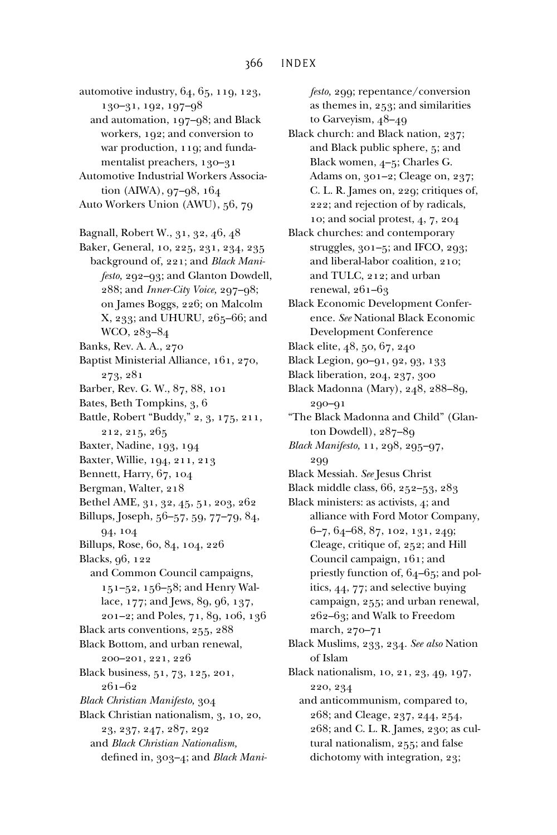- automotive industry, 64, 65, 119, 123, 130–31, 192, 197–98
	- and automation, 197–98; and Black workers, 192; and conversion to war production, 119; and fundamentalist preachers, 130–31
- Automotive Industrial Workers Association (AIWA), 97–98, 164
- Auto Workers Union (AWU), 56, 79
- Bagnall, Robert W., 31, 32, 46, 48
- Baker, General, 10, 225, 231, 234, 235 background of, 221; and *Black Manifesto,* 292–93; and Glanton Dowdell, 288; and *Inner-City Voice,* 297–98; on James Boggs, 226; on Malcolm X, 233; and UHURU, 265–66; and WCO, 283–84
- Banks, Rev. A. A., 270
- Baptist Ministerial Alliance, 161, 270, 273, 281
- Barber, Rev. G. W., 87, 88, 101
- Bates, Beth Tompkins, 3, 6
- Battle, Robert "Buddy," 2, 3, 175, 211, 212, 215, 265
- Baxter, Nadine, 193, 194
- Baxter, Willie, 194, 211, 213
- Bennett, Harry, 67, 104
- Bergman, Walter, 218
- Bethel AME, 31, 32, 45, 51, 203, 262
- Billups, Joseph, 56–57, 59, 77–79, 84, 94, 104
- Billups, Rose, 60, 84, 104, 226
- Blacks, 96, 122
- and Common Council campaigns, 151–52, 156–58; and Henry Wallace, 177; and Jews, 89, 96, 137,
- 201–2; and Poles, 71, 89, 106, 136
- Black arts conventions, 255, 288
- Black Bottom, and urban renewal, 200–201, 221, 226
- Black business, 51, 73, 125, 201, 261–62
- *Black Christian Manifesto,* 304
- Black Christian nationalism, 3, 10, 20, 23, 237, 247, 287, 292 and *Black Christian Nationalism,*
	- defined in, 303-4; and *Black Mani-*

*festo,* 299; repentance/conversion as themes in, 253; and similarities to Garveyism, 48–49

- Black church: and Black nation, 237; and Black public sphere, 5; and Black women, 4–5; Charles G. Adams on, 301–2; Cleage on, 237; C. L. R. James on, 229; critiques of, 222; and rejection of by radicals, 10; and social protest, 4, 7, 204
- Black churches: and contemporary struggles, 301–5; and IFCO, 293; and liberal-labor coalition, 210; and TULC, 212; and urban renewal, 261–63
- Black Economic Development Conference. *See* National Black Economic Development Conference
- Black elite, 48, 50, 67, 240
- Black Legion, 90–91, 92, 93, 133
- Black liberation, 204, 237, 300
- Black Madonna (Mary), 248, 288–89, 290–91
- "The Black Madonna and Child" (Glanton Dowdell), 287–89
- *Black Manifesto,* 11, 298, 295–97, 299
- Black Messiah. *See* Jesus Christ
- Black middle class, 66, 252–53, 283
- Black ministers: as activists, 4; and alliance with Ford Motor Company, 6–7, 64–68, 87, 102, 131, 249; Cleage, critique of, 252; and Hill Council campaign, 161; and priestly function of, 64–65; and politics, 44, 77; and selective buying campaign, 255; and urban renewal, 262–63; and Walk to Freedom march, 270–71
- Black Muslims, 233, 234. *See also* Nation of Islam
- Black nationalism, 10, 21, 23, 49, 197, 220, 234
	- and anticommunism, compared to, 268; and Cleage, 237, 244, 254, 268; and C. L. R. James, 230; as cultural nationalism, 255; and false dichotomy with integration, 23;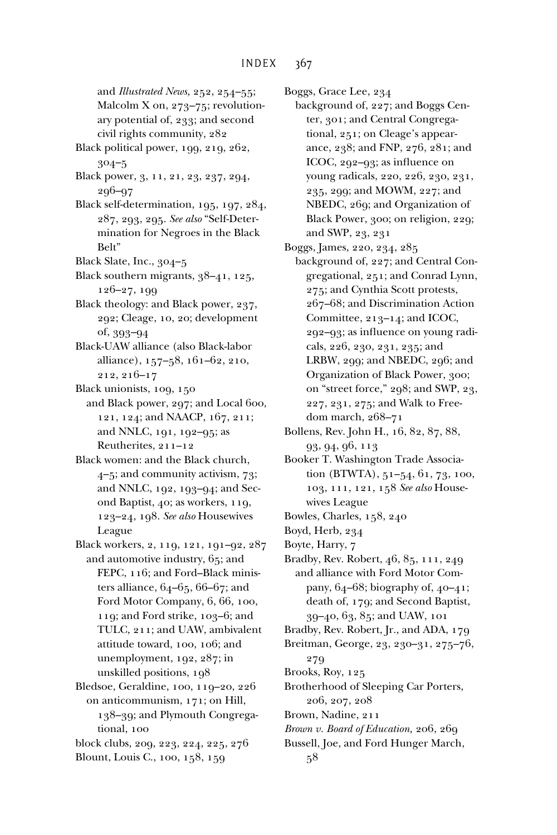and *Illustrated News,* 252, 254–55; Malcolm X on, 273–75; revolutionary potential of, 233; and second civil rights community, 282 Black political power, 199, 219, 262, 304–5 Black power, 3, 11, 21, 23, 237, 294, 296–97 Black self-determination, 195, 197, 284, 287, 293, 295. *See also* "Self-Determination for Negroes in the Black Belt" Black Slate, Inc., 304–5 Black southern migrants, 38–41, 125, 126–27, 199 Black theology: and Black power, 237, 292; Cleage, 10, 20; development of, 393–94 Black-UAW alliance (also Black-labor alliance), 157–58, 161–62, 210, 212, 216–17 Black unionists, 109, 150 and Black power, 297; and Local 600, 121, 124; and NAACP, 167, 211; and NNLC, 191, 192–95; as Reutherites, 211–12 Black women: and the Black church, 4–5; and community activism, 73; and NNLC, 192, 193–94; and Second Baptist, 40; as workers, 119, 123–24, 198. *See also* Housewives League Black workers, 2, 119, 121, 191–92, 287 and automotive industry, 65; and

- FEPC, 116; and Ford–Black ministers alliance, 64–65, 66–67; and Ford Motor Company, 6, 66, 100, 119; and Ford strike, 103–6; and TULC, 211; and UAW, ambivalent attitude toward, 100, 106; and unemployment, 192, 287; in unskilled positions, 198
- Bledsoe, Geraldine, 100, 119–20, 226 on anticommunism, 171; on Hill, 138–39; and Plymouth Congregational, 100
- block clubs, 209, 223, 224, 225, 276
- Blount, Louis C., 100, 158, 159

Boggs, Grace Lee, 234

- background of, 227; and Boggs Center, 301; and Central Congregational, 251; on Cleage's appearance, 238; and FNP, 276, 281; and ICOC, 292-93; as influence on young radicals, 220, 226, 230, 231, 235, 299; and MOWM, 227; and NBEDC, 269; and Organization of Black Power, 300; on religion, 229; and SWP, 23, 231
- Boggs, James, 220, 234, 285
	- background of, 227; and Central Congregational, 251; and Conrad Lynn, 275; and Cynthia Scott protests, 267–68; and Discrimination Action Committee, 213–14; and ICOC, 292–93; as influence on young radicals, 226, 230, 231, 235; and LRBW, 299; and NBEDC, 296; and Organization of Black Power, 300; on "street force," 298; and SWP, 23, 227, 231, 275; and Walk to Freedom march, 268–71
- Bollens, Rev. John H., 16, 82, 87, 88, 93, 94, 96, 113
- Booker T. Washington Trade Association (BTWTA), 51–54, 61, 73, 100, 103, 111, 121, 158 *See also* Housewives League
- Bowles, Charles, 158, 240
- Boyd, Herb, 234
- Boyte, Harry, 7
- Bradby, Rev. Robert, 46, 85, 111, 249 and alliance with Ford Motor Company, 64–68; biography of, 40–41; death of, 179; and Second Baptist, 39–40, 63, 85; and UAW, 101
- Bradby, Rev. Robert, Jr., and ADA, 179
- Breitman, George, 23, 230–31, 275–76, 279
- Brooks, Roy, 125
- Brotherhood of Sleeping Car Porters, 206, 207, 208
- Brown, Nadine, 211
- *Brown v. Board of Education,* 206, 269
- Bussell, Joe, and Ford Hunger March, 58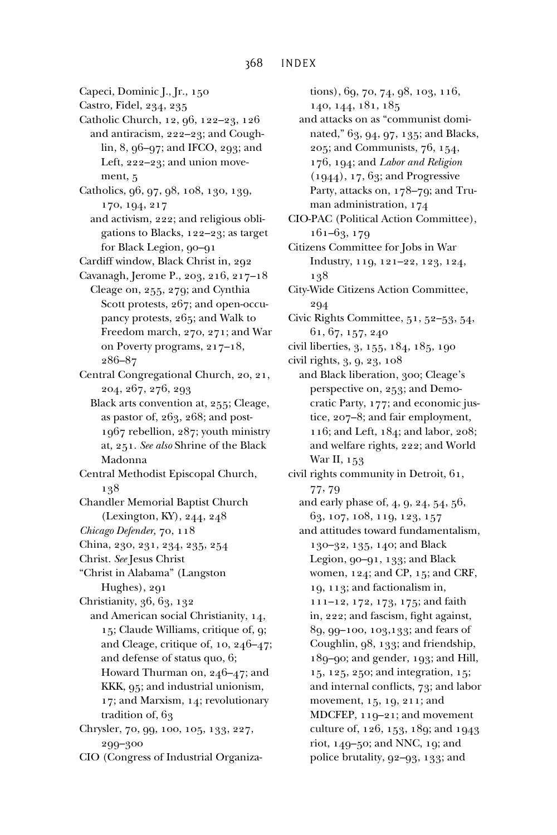- Capeci, Dominic J., Jr., 150
- Castro, Fidel, 234, 235
- Catholic Church, 12, 96, 122–23, 126 and antiracism, 222–23; and Coughlin, 8, 96–97; and IFCO, 293; and Left, 222–23; and union movement, 5
- Catholics, 96, 97, 98, 108, 130, 139, 170, 194, 217
	- and activism, 222; and religious obligations to Blacks, 122–23; as target for Black Legion, 90-91
- Cardiff window, Black Christ in, 292
- Cavanagh, Jerome P., 203, 216, 217–18 Cleage on, 255, 279; and Cynthia Scott protests, 267; and open-occupancy protests, 265; and Walk to Freedom march, 270, 271; and War on Poverty programs, 217–18, 286–87
- Central Congregational Church, 20, 21, 204, 267, 276, 293
	- Black arts convention at, 255; Cleage, as pastor of, 263, 268; and post-1967 rebellion, 287; youth ministry at, 251. *See also* Shrine of the Black Madonna
- Central Methodist Episcopal Church, 138
- Chandler Memorial Baptist Church (Lexington, KY), 244, 248
- *Chicago Defender,* 70, 118
- China, 230, 231, 234, 235, 254
- Christ. *See* Jesus Christ
- "Christ in Alabama" (Langston Hughes), 291
- Christianity, 36, 63, 132
- and American social Christianity, 14, 15; Claude Williams, critique of, 9; and Cleage, critique of, 10, 246–47; and defense of status quo, 6; Howard Thurman on, 246–47; and KKK, 95; and industrial unionism, 17; and Marxism, 14; revolutionary tradition of, 63
- Chrysler, 70, 99, 100, 105, 133, 227, 299–300
- CIO (Congress of Industrial Organiza-

tions), 69, 70, 74, 98, 103, 116, 140, 144, 181, 185

- and attacks on as "communist dominated," 63, 94, 97, 135; and Blacks, 205; and Communists, 76, 154, 176, 194; and *Labor and Religion* (1944), 17, 63; and Progressive Party, attacks on, 178–79; and Truman administration, 174
- CIO-PAC (Political Action Committee), 161–63, 179
- Citizens Committee for Jobs in War Industry, 119, 121–22, 123, 124, 138
- City-Wide Citizens Action Committee, 294
- Civic Rights Committee, 51, 52–53, 54, 61, 67, 157, 240
- civil liberties, 3, 155, 184, 185, 190
- civil rights, 3, 9, 23, 108
- and Black liberation, 300; Cleage's perspective on, 253; and Democratic Party, 177; and economic justice, 207–8; and fair employment, 116; and Left, 184; and labor, 208; and welfare rights, 222; and World War II, 153
- civil rights community in Detroit, 61, 77, 79
	- and early phase of, 4, 9, 24, 54, 56, 63, 107, 108, 119, 123, 157
	- and attitudes toward fundamentalism, 130–32, 135, 140; and Black Legion, 90–91, 133; and Black women, 124; and CP, 15; and CRF, 19, 113; and factionalism in, 111–12, 172, 173, 175; and faith in, 222; and fascism, fight against, 89, 99–100, 103,133; and fears of Coughlin, 98, 133; and friendship, 189–90; and gender, 193; and Hill, 15, 125, 250; and integration, 15; and internal conflicts, 73; and labor movement, 15, 19, 211; and MDCFEP, 119–21; and movement culture of, 126, 153, 189; and 1943 riot, 149–50; and NNC, 19; and police brutality, 92–93, 133; and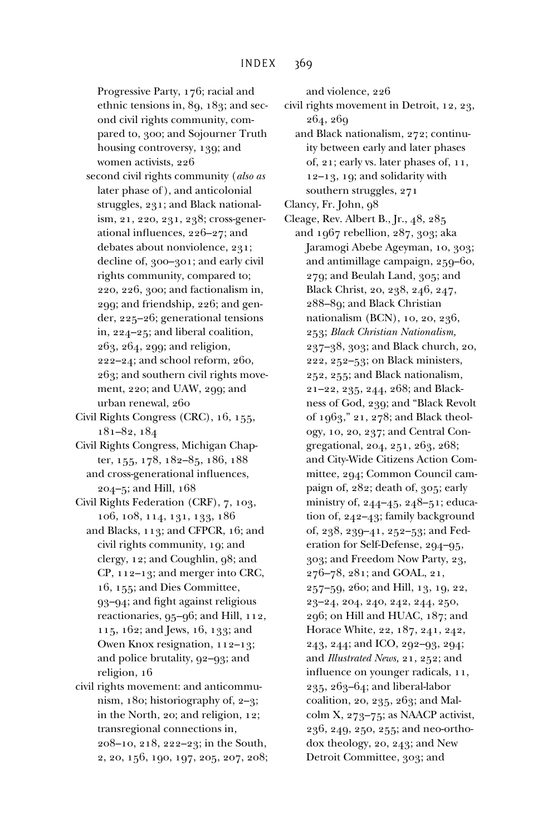Progressive Party, 176; racial and ethnic tensions in, 89, 183; and second civil rights community, compared to, 300; and Sojourner Truth housing controversy, 139; and women activists, 226

- second civil rights community (*also as* later phase of ), and anticolonial struggles, 231; and Black nationalism, 21, 220, 231, 238; cross-generational influences,  $226-27$ ; and debates about nonviolence, 231; decline of, 300–301; and early civil rights community, compared to; 220, 226, 300; and factionalism in, 299; and friendship, 226; and gender, 225–26; generational tensions in, 224–25; and liberal coalition, 263, 264, 299; and religion, 222–24; and school reform, 260, 263; and southern civil rights movement, 220; and UAW, 299; and urban renewal, 260
- Civil Rights Congress (CRC), 16, 155, 181–82, 184
- Civil Rights Congress, Michigan Chapter, 155, 178, 182–85, 186, 188 and cross-generational influences, 204–5; and Hill, 168
- Civil Rights Federation (CRF), 7, 103, 106, 108, 114, 131, 133, 186
- and Blacks, 113; and CFPCR, 16; and civil rights community, 19; and clergy, 12; and Coughlin, 98; and CP, 112–13; and merger into CRC, 16, 155; and Dies Committee, 93-94; and fight against religious reactionaries, 95–96; and Hill, 112, 115, 162; and Jews, 16, 133; and Owen Knox resignation, 112–13; and police brutality, 92–93; and religion, 16
- civil rights movement: and anticommunism, 180; historiography of, 2–3; in the North, 20; and religion, 12; transregional connections in, 208–10, 218, 222–23; in the South, 2, 20, 156, 190, 197, 205, 207, 208;

and violence, 226

civil rights movement in Detroit, 12, 23, 264, 269

- and Black nationalism, 272; continuity between early and later phases of, 21; early vs. later phases of, 11, 12–13, 19; and solidarity with southern struggles, 271
- Clancy, Fr. John, 98
- Cleage, Rev. Albert B., Jr., 48, 285 and 1967 rebellion, 287, 303; aka Jaramogi Abebe Ageyman, 10, 303; and antimillage campaign, 259–60, 279; and Beulah Land, 305; and Black Christ, 20, 238, 246, 247, 288–89; and Black Christian nationalism (BCN), 10, 20, 236, 253; *Black Christian Nationalism,* 237–38, 303; and Black church, 20, 222, 252–53; on Black ministers, 252, 255; and Black nationalism, 21–22, 235, 244, 268; and Blackness of God, 239; and "Black Revolt of 1963," 21, 278; and Black theology, 10, 20, 237; and Central Congregational, 204, 251, 263, 268; and City-Wide Citizens Action Committee, 294; Common Council campaign of, 282; death of, 305; early ministry of, 244–45, 248–51; education of, 242–43; family background of, 238, 239–41, 252–53; and Federation for Self-Defense, 294–95, 303; and Freedom Now Party, 23, 276–78, 281; and GOAL, 21, 257–59, 260; and Hill, 13, 19, 22, 23–24, 204, 240, 242, 244, 250, 296; on Hill and HUAC, 187; and Horace White, 22, 187, 241, 242, 243, 244; and ICO, 292–93, 294; and *Illustrated News,* 21, 252; and influence on younger radicals, 11, 235, 263–64; and liberal-labor coalition, 20, 235, 263; and Malcolm X, 273–75; as NAACP activist, 236, 249, 250, 255; and neo-orthodox theology, 20, 243; and New Detroit Committee, 303; and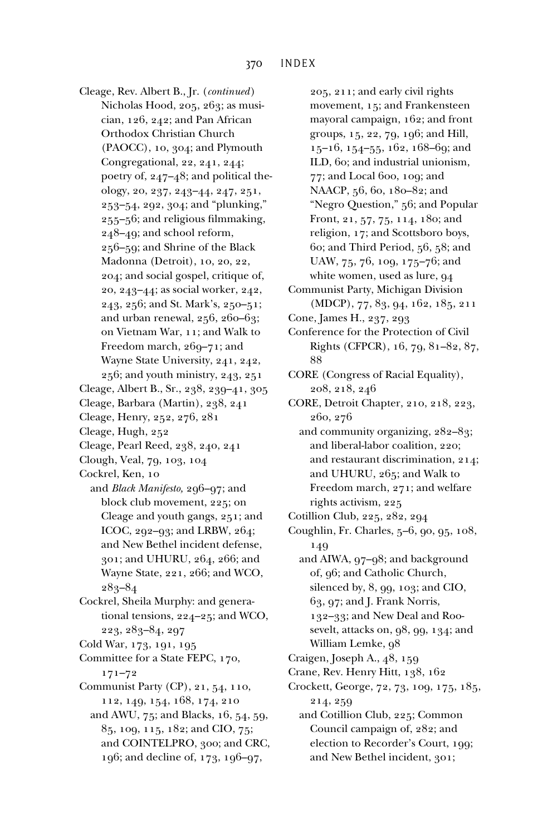Cleage, Rev. Albert B., Jr. (*continued*) Nicholas Hood, 205, 263; as musician, 126, 242; and Pan African Orthodox Christian Church (PAOCC), 10, 304; and Plymouth Congregational, 22, 241, 244; poetry of, 247–48; and political theology, 20, 237, 243–44, 247, 251, 253–54, 292, 304; and "plunking,"  $255 - 56$ ; and religious filmmaking, 248–49; and school reform, 256–59; and Shrine of the Black Madonna (Detroit), 10, 20, 22, 204; and social gospel, critique of, 20, 243–44; as social worker, 242, 243, 256; and St. Mark's, 250–51; and urban renewal, 256, 260–63; on Vietnam War, 11; and Walk to Freedom march, 269–71; and Wayne State University, 241, 242, 256; and youth ministry, 243, 251 Cleage, Albert B., Sr., 238, 239–41, 305 Cleage, Barbara (Martin), 238, 241 Cleage, Henry, 252, 276, 281 Cleage, Hugh, 252 Cleage, Pearl Reed, 238, 240, 241 Clough, Veal, 79, 103, 104 Cockrel, Ken, 10 and *Black Manifesto,* 296–97; and block club movement, 225; on Cleage and youth gangs, 251; and ICOC, 292–93; and LRBW, 264; and New Bethel incident defense, 301; and UHURU, 264, 266; and Wayne State, 221, 266; and WCO, 283–84 Cockrel, Sheila Murphy: and generational tensions, 224–25; and WCO, 223, 283–84, 297 Cold War, 173, 191, 195 Committee for a State FEPC, 170, 171–72 Communist Party (CP), 21, 54, 110, 112, 149, 154, 168, 174, 210 and AWU, 75; and Blacks, 16, 54, 59, 85, 109, 115, 182; and CIO, 75; and COINTELPRO, 300; and CRC,

196; and decline of, 173, 196–97,

205, 211; and early civil rights movement, 15; and Frankensteen mayoral campaign, 162; and front groups, 15, 22, 79, 196; and Hill, 15–16, 154–55, 162, 168–69; and ILD, 60; and industrial unionism, 77; and Local 600, 109; and NAACP, 56, 60, 180–82; and "Negro Question," 56; and Popular Front, 21, 57, 75, 114, 180; and religion, 17; and Scottsboro boys, 60; and Third Period, 56, 58; and UAW, 75, 76, 109, 175–76; and white women, used as lure, 94

- Communist Party, Michigan Division (MDCP), 77, 83, 94, 162, 185, 211
- Cone, James H., 237, 293

Conference for the Protection of Civil Rights (CFPCR), 16, 79, 81–82, 87, 88

CORE (Congress of Racial Equality), 208, 218, 246

CORE, Detroit Chapter, 210, 218, 223, 260, 276

- and community organizing, 282–83; and liberal-labor coalition, 220; and restaurant discrimination, 214; and UHURU, 265; and Walk to Freedom march, 271; and welfare rights activism, 225
- Cotillion Club, 225, 282, 294
- Coughlin, Fr. Charles, 5–6, 90, 95, 108, 149
- and AIWA, 97–98; and background of, 96; and Catholic Church, silenced by, 8, 99, 103; and CIO, 63, 97; and J. Frank Norris, 132–33; and New Deal and Roosevelt, attacks on, 98, 99, 134; and William Lemke, 98
- Craigen, Joseph A., 48, 159
- Crane, Rev. Henry Hitt, 138, 162
- Crockett, George, 72, 73, 109, 175, 185, 214, 259

and Cotillion Club, 225; Common Council campaign of, 282; and election to Recorder's Court, 199; and New Bethel incident, 301;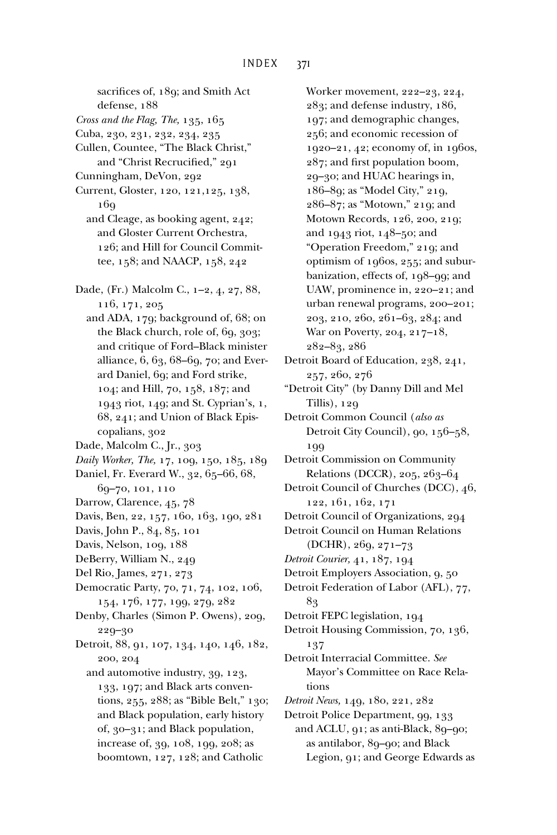defense, 188 *Cross and the Flag, The,* 135, 165 Cuba, 230, 231, 232, 234, 235 Cullen, Countee, "The Black Christ," and "Christ Recrucified," 291 Cunningham, DeVon, 292 Current, Gloster, 120, 121,125, 138, 16<sub>9</sub> and Cleage, as booking agent, 242; and Gloster Current Orchestra, 126; and Hill for Council Committee, 158; and NAACP, 158, 242 Dade, (Fr.) Malcolm C., 1–2, 4, 27, 88, 116, 171, 205 and ADA, 179; background of, 68; on the Black church, role of, 69, 303; and critique of Ford–Black minister alliance, 6, 63, 68–69, 70; and Everard Daniel, 69; and Ford strike, 104; and Hill, 70, 158, 187; and 1943 riot, 149; and St. Cyprian's, 1, 68, 241; and Union of Black Episcopalians, 302 Dade, Malcolm C., Jr., 303 *Daily Worker, The,* 17, 109, 150, 185, 189 Daniel, Fr. Everard W., 32, 65–66, 68, 69–70, 101, 110 Darrow, Clarence, 45, 78 Davis, Ben, 22, 157, 160, 163, 190, 281 Davis, John P., 84, 85, 101 Davis, Nelson, 109, 188 DeBerry, William N., 249 Del Rio, James, 271, 273 Democratic Party, 70, 71, 74, 102, 106, 154, 176, 177, 199, 279, 282 Denby, Charles (Simon P. Owens), 209, 229–30 Detroit, 88, 91, 107, 134, 140, 146, 182, 200, 204 and automotive industry, 39, 123, 133, 197; and Black arts conventions, 255, 288; as "Bible Belt," 130; and Black population, early history of, 30–31; and Black population, increase of, 39, 108, 199, 208; as boomtown, 127, 128; and Catholic

sacrifices of, 189; and Smith Act

Worker movement, 222–23, 224, 283; and defense industry, 186, 197; and demographic changes, 256; and economic recession of 1920–21, 42; economy of, in 1960s, 287; and first population boom, 29–30; and HUAC hearings in, 186–89; as "Model City," 219, 286–87; as "Motown," 219; and Motown Records, 126, 200, 219; and 1943 riot, 148–50; and "Operation Freedom," 219; and optimism of 1960s, 255; and suburbanization, effects of, 198–99; and UAW, prominence in, 220–21; and urban renewal programs, 200–201; 203, 210, 260, 261–63, 284; and War on Poverty, 204, 217–18, 282–83, 286 Detroit Board of Education, 238, 241, 257, 260, 276 "Detroit City" (by Danny Dill and Mel Tillis), 129 Detroit Common Council (*also as* Detroit City Council), 90, 156–58, 199 Detroit Commission on Community Relations (DCCR), 205, 263–64 Detroit Council of Churches (DCC), 46, 122, 161, 162, 171 Detroit Council of Organizations, 294 Detroit Council on Human Relations (DCHR), 269, 271–73 *Detroit Courier,* 41, 187, 194 Detroit Employers Association, 9, 50 Detroit Federation of Labor (AFL), 77, 83 Detroit FEPC legislation, 194 Detroit Housing Commission, 70, 136, 137 Detroit Interracial Committee. *See* Mayor's Committee on Race Relations *Detroit News,* 149, 180, 221, 282 Detroit Police Department, 99, 133 and ACLU, 91; as anti-Black, 89–90; as antilabor, 89–90; and Black Legion, 91; and George Edwards as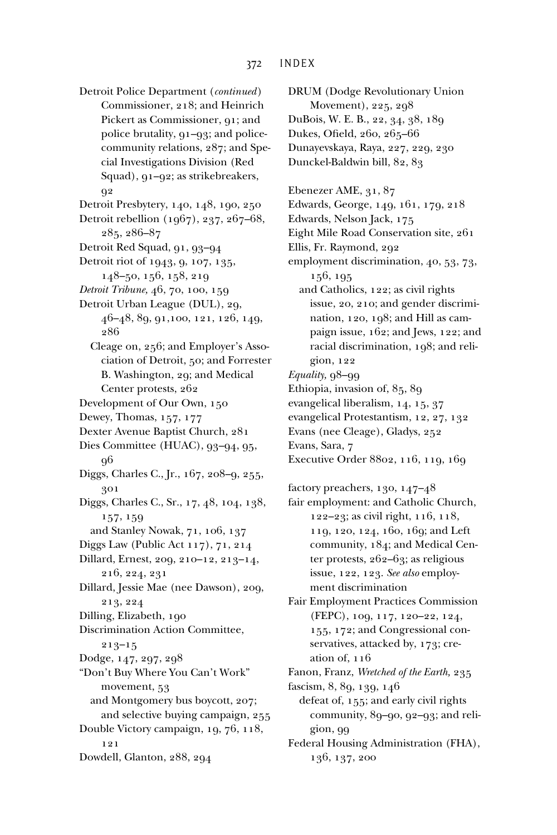Detroit Police Department (*continued*) Commissioner, 218; and Heinrich Pickert as Commissioner, 91; and police brutality, 91–93; and policecommunity relations, 287; and Special Investigations Division (Red Squad), 91–92; as strikebreakers, 92

Detroit Presbytery, 140, 148, 190, 250 Detroit rebellion (1967), 237, 267–68, 285, 286–87

Detroit Red Squad, 91, 93–94

Detroit riot of 1943, 9, 107, 135, 148–50, 156, 158, 219

*Detroit Tribune,* 46, 70, 100, 159

- Detroit Urban League (DUL), 29, 46–48, 89, 91,100, 121, 126, 149, 286
	- Cleage on, 256; and Employer's Association of Detroit, 50; and Forrester B. Washington, 29; and Medical Center protests, 262
- Development of Our Own, 150
- Dewey, Thomas, 157, 177
- Dexter Avenue Baptist Church, 281
- Dies Committee (HUAC), 93–94, 95, 96
- Diggs, Charles C., Jr., 167, 208–9, 255, 301

Diggs, Charles C., Sr., 17, 48, 104, 138, 157, 159

- and Stanley Nowak, 71, 106, 137
- Diggs Law (Public Act 117), 71, 214
- Dillard, Ernest, 209, 210–12, 213–14, 216, 224, 231

Dillard, Jessie Mae (nee Dawson), 209, 213, 224

Dilling, Elizabeth, 190

Discrimination Action Committee, 213–15

Dodge, 147, 297, 298

"Don't Buy Where You Can't Work" movement, 53 and Montgomery bus boycott, 207; and selective buying campaign, 255 Double Victory campaign, 19, 76, 118,

121

Dowdell, Glanton, 288, 294

DRUM (Dodge Revolutionary Union Movement), 225, 298 DuBois, W. E. B., 22, 34, 38, 189 Dukes, Ofield, 260, 265-66 Dunayevskaya, Raya, 227, 229, 230 Dunckel-Baldwin bill, 82, 83 Ebenezer AME, 31, 87 Edwards, George, 149, 161, 179, 218 Edwards, Nelson Jack, 175 Eight Mile Road Conservation site, 261 Ellis, Fr. Raymond, 292 employment discrimination, 40, 53, 73, 156, 195 and Catholics, 122; as civil rights issue, 20, 210; and gender discrimination, 120, 198; and Hill as campaign issue, 162; and Jews, 122; and racial discrimination, 198; and religion, 122 Equality, 98-99 Ethiopia, invasion of, 85, 89 evangelical liberalism, 14, 15, 37 evangelical Protestantism, 12, 27, 132 Evans (nee Cleage), Gladys, 252 Evans, Sara, 7 Executive Order 8802, 116, 119, 169

factory preachers, 130, 147–48

- fair employment: and Catholic Church, 122–23; as civil right, 116, 118, 119, 120, 124, 160, 169; and Left community, 184; and Medical Center protests, 262–63; as religious issue, 122, 123. *See also* employment discrimination
- Fair Employment Practices Commission (FEPC), 109, 117, 120–22, 124, 155, 172; and Congressional conservatives, attacked by, 173; creation of, 116

Fanon, Franz, *Wretched of the Earth,* 235

fascism, 8, 89, 139, 146

defeat of, 155; and early civil rights community, 89–90, 92–93; and religion, 99

Federal Housing Administration (FHA), 136, 137, 200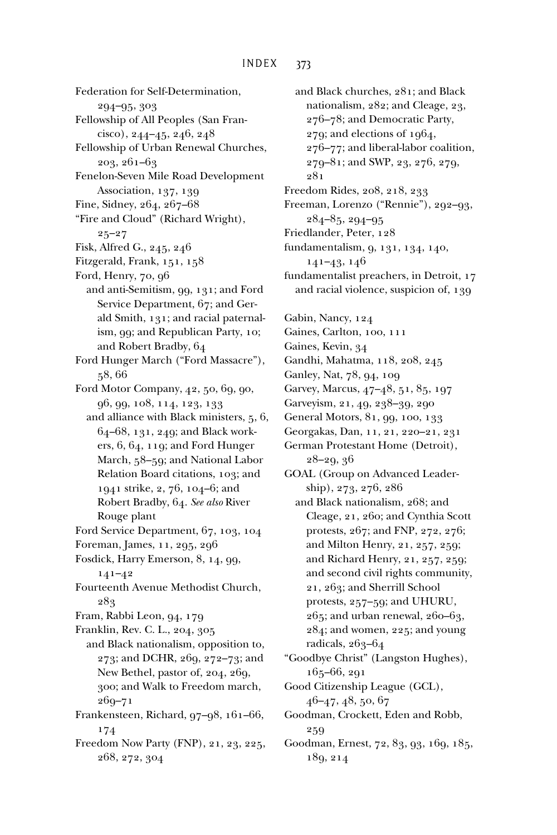Federation for Self-Determination, 294–95, 303 Fellowship of All Peoples (San Francisco), 244–45, 246, 248 Fellowship of Urban Renewal Churches, 203, 261–63 Fenelon-Seven Mile Road Development Association, 137, 139 Fine, Sidney, 264, 267–68 "Fire and Cloud" (Richard Wright), 25–27 Fisk, Alfred G., 245, 246 Fitzgerald, Frank, 151, 158 Ford, Henry, 70, 96 and anti-Semitism, 99, 131; and Ford Service Department, 67; and Gerald Smith, 131; and racial paternalism, 99; and Republican Party, 10; and Robert Bradby, 64 Ford Hunger March ("Ford Massacre"), 58, 66 Ford Motor Company, 42, 50, 69, 90, 96, 99, 108, 114, 123, 133 and alliance with Black ministers, 5, 6, 64–68, 131, 249; and Black workers, 6, 64, 119; and Ford Hunger March, 58–59; and National Labor Relation Board citations, 103; and 1941 strike, 2, 76, 104–6; and Robert Bradby, 64. *See also* River Rouge plant Ford Service Department, 67, 103, 104 Foreman, James, 11, 295, 296 Fosdick, Harry Emerson, 8, 14, 99, 141–42 Fourteenth Avenue Methodist Church, 283 Fram, Rabbi Leon, 94, 179 Franklin, Rev. C. L., 204, 305 and Black nationalism, opposition to, 273; and DCHR, 269, 272–73; and New Bethel, pastor of, 204, 269, 300; and Walk to Freedom march, 269–71 Frankensteen, Richard, 97–98, 161–66, 174 Freedom Now Party (FNP), 21, 23, 225, 268, 272, 304

and Black churches, 281; and Black nationalism, 282; and Cleage, 23, 276–78; and Democratic Party, 279; and elections of 1964, 276–77; and liberal-labor coalition, 279–81; and SWP, 23, 276, 279, 281 Freedom Rides, 208, 218, 233 Freeman, Lorenzo ("Rennie"), 292–93, 284–85, 294–95 Friedlander, Peter, 128 fundamentalism, 9, 131, 134, 140, 141–43, 146 fundamentalist preachers, in Detroit, 17 and racial violence, suspicion of, 139 Gabin, Nancy, 124 Gaines, Carlton, 100, 111 Gaines, Kevin, 34 Gandhi, Mahatma, 118, 208, 245 Ganley, Nat, 78, 94, 109 Garvey, Marcus, 47–48, 51, 85, 197 Garveyism, 21, 49, 238–39, 290 General Motors, 81, 99, 100, 133 Georgakas, Dan, 11, 21, 220–21, 231 German Protestant Home (Detroit), 28–29, 36 GOAL (Group on Advanced Leadership), 273, 276, 286 and Black nationalism, 268; and Cleage, 21, 260; and Cynthia Scott protests, 267; and FNP, 272, 276; and Milton Henry, 21, 257, 259; and Richard Henry, 21, 257, 259; and second civil rights community, 21, 263; and Sherrill School protests, 257–59; and UHURU, 265; and urban renewal, 260–63, 284; and women, 225; and young radicals, 263–64 "Goodbye Christ" (Langston Hughes), 165–66, 291 Good Citizenship League (GCL),  $46-47, 48, 50, 67$ Goodman, Crockett, Eden and Robb, 259

Goodman, Ernest, 72, 83, 93, 169, 185, 189, 214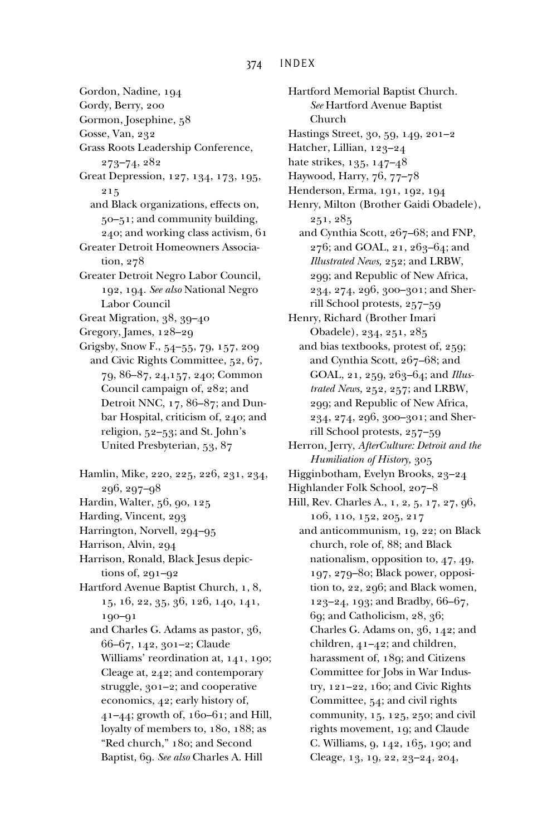Gordon, Nadine, 194 Gordy, Berry, 200 Gormon, Josephine, 58 Gosse, Van, 232 Grass Roots Leadership Conference, 273–74, 282 Great Depression, 127, 134, 173, 195, 215 and Black organizations, effects on, 50–51; and community building, 240; and working class activism, 61 Greater Detroit Homeowners Association, 278 Greater Detroit Negro Labor Council, 192, 194. *See also* National Negro Labor Council Great Migration, 38, 39–40 Gregory, James, 128–29 Grigsby, Snow F., 54–55, 79, 157, 209 and Civic Rights Committee, 52, 67, 79, 86–87, 24,157, 240; Common Council campaign of, 282; and Detroit NNC, 17, 86–87; and Dunbar Hospital, criticism of, 240; and religion, 52–53; and St. John's United Presbyterian, 53, 87 Hamlin, Mike, 220, 225, 226, 231, 234, 296, 297–98 Hardin, Walter, 56, 90, 125 Harding, Vincent, 293 Harrington, Norvell, 294–95 Harrison, Alvin, 294 Harrison, Ronald, Black Jesus depictions of, 291–92 Hartford Avenue Baptist Church, 1, 8, 15, 16, 22, 35, 36, 126, 140, 141, 190–91 and Charles G. Adams as pastor, 36, 66–67, 142, 301–2; Claude Williams' reordination at, 141, 190; Cleage at, 242; and contemporary struggle, 301–2; and cooperative economics, 42; early history of, 41–44; growth of, 160–61; and Hill, loyalty of members to, 180, 188; as "Red church," 180; and Second Baptist, 69. *See also* Charles A. Hill

Hartford Memorial Baptist Church. *See* Hartford Avenue Baptist Church Hastings Street, 30, 59, 149, 201–2 Hatcher, Lillian, 123–24 hate strikes, 135, 147–48 Haywood, Harry, 76, 77–78 Henderson, Erma, 191, 192, 194 Henry, Milton (Brother Gaidi Obadele), 251, 285 and Cynthia Scott, 267–68; and FNP, 276; and GOAL, 21, 263–64; and *Illustrated News,* 252; and LRBW, 299; and Republic of New Africa, 234, 274, 296, 300–301; and Sherrill School protests, 257–59 Henry, Richard (Brother Imari Obadele), 234, 251, 285 and bias textbooks, protest of, 259; and Cynthia Scott, 267–68; and GOAL, 21, 259, 263–64; and *Illustrated News,* 252, 257; and LRBW, 299; and Republic of New Africa, 234, 274, 296, 300–301; and Sherrill School protests, 257–59 Herron, Jerry, *AfterCulture: Detroit and the Humiliation of History,* 305 Higginbotham, Evelyn Brooks, 23–24 Highlander Folk School, 207–8 Hill, Rev. Charles A., 1, 2, 5, 17, 27, 96, 106, 110, 152, 205, 217 and anticommunism, 19, 22; on Black church, role of, 88; and Black nationalism, opposition to, 47, 49, 197, 279–80; Black power, opposition to, 22, 296; and Black women, 123–24, 193; and Bradby, 66–67, 69; and Catholicism, 28, 36; Charles G. Adams on, 36, 142; and children, 41–42; and children, harassment of, 189; and Citizens Committee for Jobs in War Industry, 121–22, 160; and Civic Rights Committee, 54; and civil rights community, 15, 125, 250; and civil rights movement, 19; and Claude C. Williams, 9, 142, 165, 190; and Cleage, 13, 19, 22, 23–24, 204,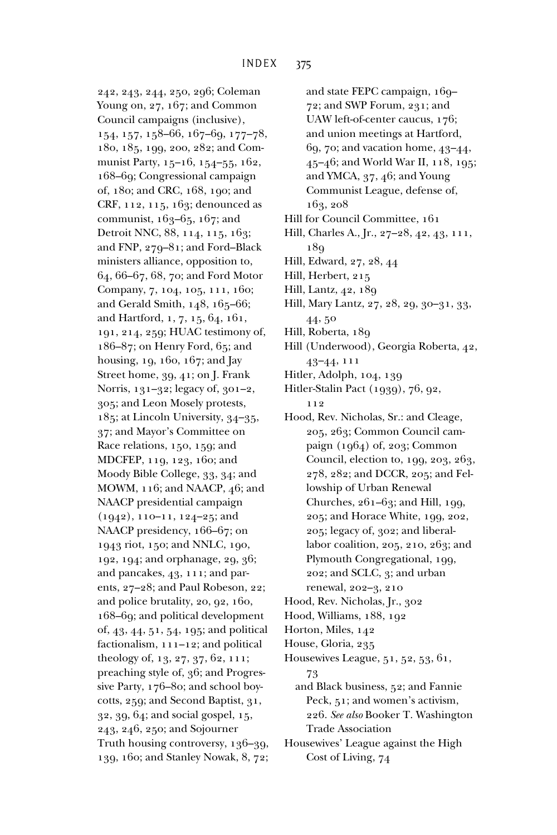242, 243, 244, 250, 296; Coleman Young on, 27, 167; and Common Council campaigns (inclusive), 154, 157, 158–66, 167–69, 177–78, 180, 185, 199, 200, 282; and Communist Party, 15–16, 154–55, 162, 168–69; Congressional campaign of, 180; and CRC, 168, 190; and CRF, 112, 115, 163; denounced as communist, 163–65, 167; and Detroit NNC, 88, 114, 115, 163; and FNP, 279–81; and Ford–Black ministers alliance, opposition to, 64, 66–67, 68, 70; and Ford Motor Company, 7, 104, 105, 111, 160; and Gerald Smith, 148, 165–66; and Hartford, 1, 7, 15, 64, 161, 191, 214, 259; HUAC testimony of, 186–87; on Henry Ford, 65; and housing, 19, 160, 167; and Jay Street home, 39, 41; on J. Frank Norris, 131–32; legacy of, 301–2, 305; and Leon Mosely protests, 185; at Lincoln University, 34–35, 37; and Mayor's Committee on Race relations, 150, 159; and MDCFEP, 119, 123, 160; and Moody Bible College, 33, 34; and MOWM, 116; and NAACP, 46; and NAACP presidential campaign (1942), 110–11, 124–25; and NAACP presidency, 166–67; on 1943 riot, 150; and NNLC, 190, 192, 194; and orphanage, 29, 36; and pancakes, 43, 111; and parents, 27–28; and Paul Robeson, 22; and police brutality, 20, 92, 160, 168–69; and political development of, 43, 44, 51, 54, 195; and political factionalism, 111–12; and political theology of, 13, 27, 37, 62, 111; preaching style of, 36; and Progressive Party, 176–80; and school boycotts, 259; and Second Baptist, 31, 32, 39, 64; and social gospel, 15, 243, 246, 250; and Sojourner Truth housing controversy, 136–39, 139, 160; and Stanley Nowak, 8, 72; and state FEPC campaign, 169– 72; and SWP Forum, 231; and UAW left-of-center caucus, 176; and union meetings at Hartford, 69, 70; and vacation home, 43–44, 45–46; and World War II, 118, 195; and YMCA, 37, 46; and Young Communist League, defense of, 163, 208

- Hill for Council Committee, 161
- Hill, Charles A., Jr., 27–28, 42, 43, 111, 189
- Hill, Edward, 27, 28, 44
- Hill, Herbert, 215
- Hill, Lantz, 42, 189
- Hill, Mary Lantz, 27, 28, 29, 30–31, 33, 44, 50
- Hill, Roberta, 189
- Hill (Underwood), Georgia Roberta, 42, 43–44, 111
- Hitler, Adolph, 104, 139
- Hitler-Stalin Pact (1939), 76, 92, 112
- Hood, Rev. Nicholas, Sr.: and Cleage, 205, 263; Common Council campaign (1964) of, 203; Common Council, election to, 199, 203, 263, 278, 282; and DCCR, 205; and Fellowship of Urban Renewal Churches, 261–63; and Hill, 199, 205; and Horace White, 199, 202, 205; legacy of, 302; and liberallabor coalition, 205, 210, 263; and Plymouth Congregational, 199, 202; and SCLC, 3; and urban renewal, 202–3, 210
- Hood, Rev. Nicholas, Jr., 302
- Hood, Williams, 188, 192
- Horton, Miles, 142
- House, Gloria, 235
- Housewives League, 51, 52, 53, 61, 73
	- and Black business, 52; and Fannie Peck, 51; and women's activism, 226. *See also* Booker T. Washington Trade Association
- Housewives' League against the High Cost of Living, 74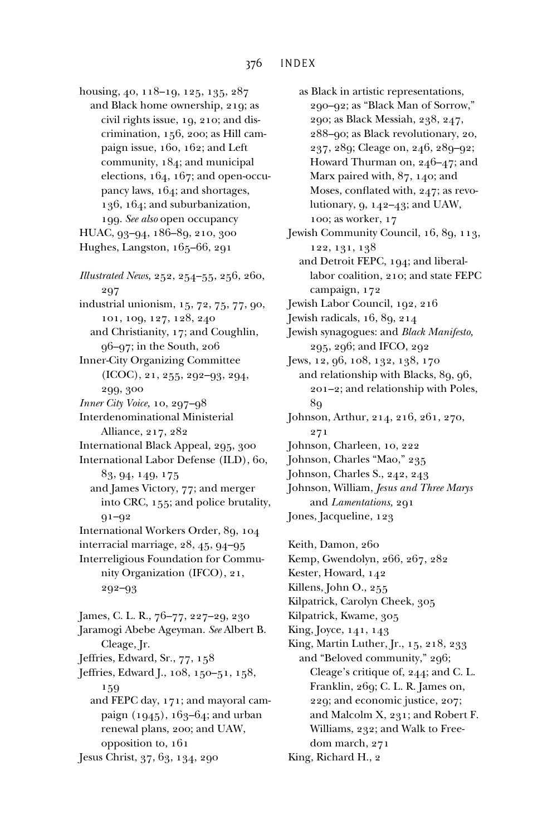housing, 40, 118–19, 125, 135, 287 and Black home ownership, 219; as civil rights issue, 19, 210; and discrimination, 156, 200; as Hill campaign issue, 160, 162; and Left community, 184; and municipal elections, 164, 167; and open-occupancy laws, 164; and shortages, 136, 164; and suburbanization, 199. *See also* open occupancy HUAC, 93–94, 186–89, 210, 300 Hughes, Langston, 165–66, 291 *Illustrated News,* 252, 254–55, 256, 260, 297 industrial unionism, 15, 72, 75, 77, 90, 101, 109, 127, 128, 240 and Christianity, 17; and Coughlin, 96–97; in the South, 206 Inner-City Organizing Committee (ICOC), 21, 255, 292–93, 294, 299, 300 *Inner City Voice,* 10, 297–98 Interdenominational Ministerial Alliance, 217, 282 International Black Appeal, 295, 300 International Labor Defense (ILD), 60, 83, 94, 149, 175 and James Victory, 77; and merger into CRC, 155; and police brutality, 91–92 International Workers Order, 89, 104 interracial marriage, 28, 45, 94–95 Interreligious Foundation for Community Organization (IFCO), 21, 292–93 James, C. L. R., 76–77, 227–29, 230 Jaramogi Abebe Ageyman. *See* Albert B. Cleage, Jr. Jeffries, Edward, Sr., 77, 158 Jeffries, Edward J., 108, 150–51, 158, 159 and FEPC day, 171; and mayoral campaign (1945), 163–64; and urban renewal plans, 200; and UAW, opposition to, 161 Jesus Christ, 37, 63, 134, 290

as Black in artistic representations, 290–92; as "Black Man of Sorrow," 290; as Black Messiah, 238, 247, 288–90; as Black revolutionary, 20, 237, 289; Cleage on, 246, 289–92; Howard Thurman on, 246–47; and Marx paired with, 87, 140; and Moses, conflated with, 247; as revolutionary, 9, 142–43; and UAW, 100; as worker, 17 Jewish Community Council, 16, 89, 113, 122, 131, 138 and Detroit FEPC, 194; and liberallabor coalition, 210; and state FEPC campaign, 172 Jewish Labor Council, 192, 216 Jewish radicals, 16, 89, 214 Jewish synagogues: and *Black Manifesto,* 295, 296; and IFCO, 292 Jews, 12, 96, 108, 132, 138, 170 and relationship with Blacks, 89, 96, 201–2; and relationship with Poles, 89 Johnson, Arthur, 214, 216, 261, 270, 271 Johnson, Charleen, 10, 222 Johnson, Charles "Mao," 235 Johnson, Charles S., 242, 243 Johnson, William, *Jesus and Three Marys* and *Lamentations,* 291 Jones, Jacqueline, 123 Keith, Damon, 260 Kemp, Gwendolyn, 266, 267, 282 Kester, Howard, 142 Killens, John O., 255 Kilpatrick, Carolyn Cheek, 305 Kilpatrick, Kwame, 305 King, Joyce, 141, 143 King, Martin Luther, Jr., 15, 218, 233 and "Beloved community," 296; Cleage's critique of, 244; and C. L.

Franklin, 269; C. L. R. James on, 229; and economic justice, 207; and Malcolm X, 231; and Robert F. Williams, 232; and Walk to Freedom march, 271

King, Richard H., 2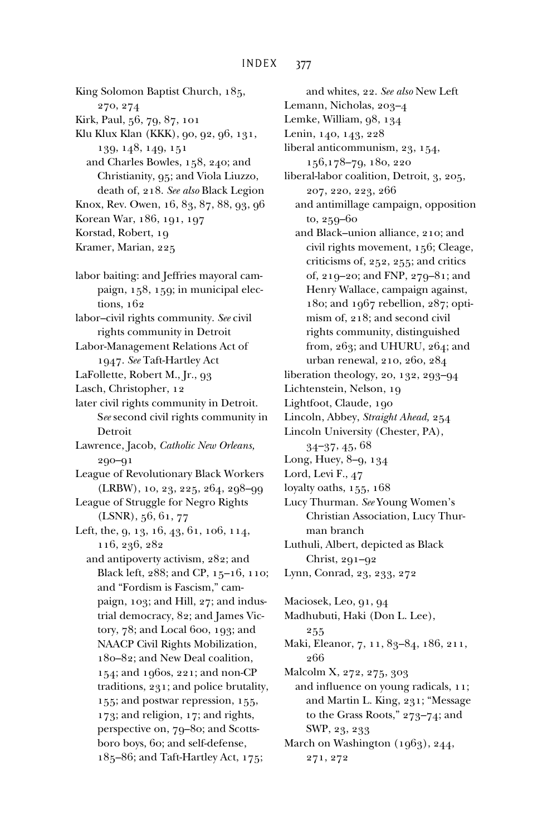King Solomon Baptist Church, 185, 270, 274 Kirk, Paul, 56, 79, 87, 101 Klu Klux Klan (KKK), 90, 92, 96, 131, 139, 148, 149, 151 and Charles Bowles, 158, 240; and Christianity, 95; and Viola Liuzzo, death of, 218. *See also* Black Legion Knox, Rev. Owen, 16, 83, 87, 88, 93, 96 Korean War, 186, 191, 197 Korstad, Robert, 19 Kramer, Marian, 225

- labor baiting: and Jeffries mayoral campaign, 158, 159; in municipal elections, 162
- labor–civil rights community. *See* civil rights community in Detroit
- Labor-Management Relations Act of 1947. *See* Taft-Hartley Act
- LaFollette, Robert M., Jr., 93
- Lasch, Christopher, 12
- later civil rights community in Detroit. S*ee* second civil rights community in Detroit
- Lawrence, Jacob, *Catholic New Orleans,* 290–91
- League of Revolutionary Black Workers (LRBW), 10, 23, 225, 264, 298–99
- League of Struggle for Negro Rights (LSNR), 56, 61, 77
- Left, the, 9, 13, 16, 43, 61, 106, 114, 116, 236, 282
	- and antipoverty activism, 282; and Black left, 288; and CP, 15–16, 110; and "Fordism is Fascism," campaign, 103; and Hill, 27; and industrial democracy, 82; and James Victory, 78; and Local 600, 193; and NAACP Civil Rights Mobilization, 180–82; and New Deal coalition, 154; and 1960s, 221; and non-CP traditions, 231; and police brutality, 155; and postwar repression, 155, 173; and religion, 17; and rights, perspective on, 79–80; and Scottsboro boys, 60; and self-defense, 185–86; and Taft-Hartley Act, 175;

and whites, 22. *See also* New Left Lemann, Nicholas, 203–4 Lemke, William, 98, 134 Lenin, 140, 143, 228 liberal anticommunism, 23, 154, 156,178–79, 180, 220 liberal-labor coalition, Detroit, 3, 205, 207, 220, 223, 266 and antimillage campaign, opposition to, 259–60 and Black–union alliance, 210; and civil rights movement, 156; Cleage, criticisms of, 252, 255; and critics of, 219–20; and FNP, 279–81; and Henry Wallace, campaign against, 180; and 1967 rebellion, 287; optimism of, 218; and second civil rights community, distinguished from, 263; and UHURU, 264; and urban renewal, 210, 260, 284 liberation theology, 20, 132, 293–94 Lichtenstein, Nelson, 19 Lightfoot, Claude, 190 Lincoln, Abbey, *Straight Ahead,* 254 Lincoln University (Chester, PA), 34–37, 45, 68 Long, Huey, 8–9, 134 Lord, Levi F., 47 loyalty oaths, 155, 168 Lucy Thurman. *See* Young Women's Christian Association, Lucy Thurman branch Luthuli, Albert, depicted as Black Christ, 291–92 Lynn, Conrad, 23, 233, 272

Maciosek, Leo, 91, 94 Madhubuti, Haki (Don L. Lee), 255 Maki, Eleanor, 7, 11, 83-84, 186, 211, 266 Malcolm X, 272, 275, 303 and influence on young radicals, 11; and Martin L. King, 231; "Message to the Grass Roots," 273–74; and SWP, 23, 233 March on Washington (1963), 244,

<sup>271, 272</sup>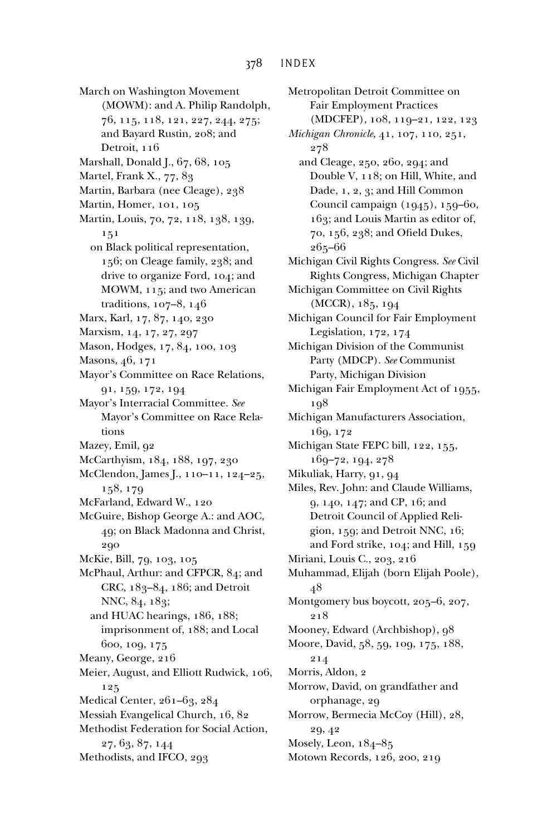March on Washington Movement (MOWM): and A. Philip Randolph, 76, 115, 118, 121, 227, 244, 275; and Bayard Rustin, 208; and Detroit, 116 Marshall, Donald J., 67, 68, 105 Martel, Frank X., 77, 83 Martin, Barbara (nee Cleage), 238 Martin, Homer, 101, 105 Martin, Louis, 70, 72, 118, 138, 139, 151 on Black political representation, 156; on Cleage family, 238; and drive to organize Ford, 104; and MOWM, 115; and two American traditions, 107–8, 146 Marx, Karl, 17, 87, 140, 230 Marxism, 14, 17, 27, 297 Mason, Hodges, 17, 84, 100, 103 Masons, 46, 171 Mayor's Committee on Race Relations, 91, 159, 172, 194 Mayor's Interracial Committee. *See* Mayor's Committee on Race Relations Mazey, Emil, 92 McCarthyism, 184, 188, 197, 230 McClendon, James J., 110–11, 124–25, 158, 179 McFarland, Edward W., 120 McGuire, Bishop George A.: and AOC, 49; on Black Madonna and Christ, 290 McKie, Bill, 79, 103, 105 McPhaul, Arthur: and CFPCR, 84; and CRC, 183–84, 186; and Detroit NNC, 84, 183; and HUAC hearings, 186, 188; imprisonment of, 188; and Local 600, 109, 175 Meany, George, 216 Meier, August, and Elliott Rudwick, 106, 125 Medical Center, 261–63, 284 Messiah Evangelical Church, 16, 82 Methodist Federation for Social Action, 27, 63, 87, 144 Methodists, and IFCO, 293

Fair Employment Practices (MDCFEP), 108, 119–21, 122, 123 *Michigan Chronicle,* 41, 107, 110, 251, 278 and Cleage, 250, 260, 294; and Double V, 118; on Hill, White, and Dade, 1, 2, 3; and Hill Common Council campaign (1945), 159–60, 163; and Louis Martin as editor of, 70, 156, 238; and Ofield Dukes, 265–66 Michigan Civil Rights Congress. *See* Civil Rights Congress, Michigan Chapter Michigan Committee on Civil Rights (MCCR), 185, 194 Michigan Council for Fair Employment Legislation, 172, 174 Michigan Division of the Communist Party (MDCP). *See* Communist Party, Michigan Division Michigan Fair Employment Act of 1955, 198 Michigan Manufacturers Association, 169, 172 Michigan State FEPC bill, 122, 155, 169–72, 194, 278 Mikuliak, Harry, 91, 94 Miles, Rev. John: and Claude Williams, 9, 140, 147; and CP, 16; and Detroit Council of Applied Religion, 159; and Detroit NNC, 16; and Ford strike, 104; and Hill, 159 Miriani, Louis C., 203, 216 Muhammad, Elijah (born Elijah Poole), 48 Montgomery bus boycott, 205–6, 207, 218 Mooney, Edward (Archbishop), 98 Moore, David, 58, 59, 109, 175, 188, 214 Morris, Aldon, 2 Morrow, David, on grandfather and orphanage, 29 Morrow, Bermecia McCoy (Hill), 28, 29, 42 Mosely, Leon, 184–85 Motown Records, 126, 200, 219

Metropolitan Detroit Committee on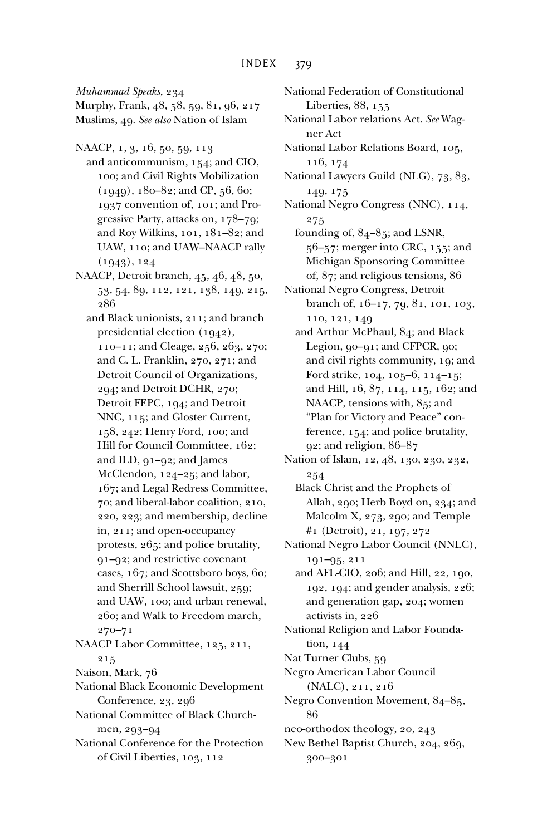*Muhammad Speaks,* 234

Murphy, Frank, 48, 58, 59, 81, 96, 217 Muslims, 49. *See also* Nation of Islam

NAACP, 1, 3, 16, 50, 59, 113 and anticommunism, 154; and CIO, 100; and Civil Rights Mobilization (1949), 180–82; and CP, 56, 60; 1937 convention of, 101; and Progressive Party, attacks on, 178–79; and Roy Wilkins, 101, 181–82; and UAW, 110; and UAW–NAACP rally (1943), 124

- NAACP, Detroit branch, 45, 46, 48, 50, 53, 54, 89, 112, 121, 138, 149, 215, 286
	- and Black unionists, 211; and branch presidential election (1942), 110–11; and Cleage, 256, 263, 270; and C. L. Franklin, 270, 271; and Detroit Council of Organizations, 294; and Detroit DCHR, 270; Detroit FEPC, 194; and Detroit NNC, 115; and Gloster Current, 158, 242; Henry Ford, 100; and Hill for Council Committee, 162; and ILD, 91–92; and James McClendon, 124–25; and labor, 167; and Legal Redress Committee, 70; and liberal-labor coalition, 210, 220, 223; and membership, decline in, 211; and open-occupancy protests, 265; and police brutality, 91–92; and restrictive covenant cases, 167; and Scottsboro boys, 60; and Sherrill School lawsuit, 259; and UAW, 100; and urban renewal, 260; and Walk to Freedom march, 270–71
- NAACP Labor Committee, 125, 211, 215
- Naison, Mark, 76
- National Black Economic Development Conference, 23, 296
- National Committee of Black Churchmen, 293–94
- National Conference for the Protection of Civil Liberties, 103, 112

National Federation of Constitutional Liberties, 88, 155 National Labor relations Act. *See* Wagner Act National Labor Relations Board, 105, 116, 174 National Lawyers Guild (NLG), 73, 83, 149, 175 National Negro Congress (NNC), 114, 275 founding of, 84–85; and LSNR, 56–57; merger into CRC, 155; and Michigan Sponsoring Committee of, 87; and religious tensions, 86 National Negro Congress, Detroit branch of, 16–17, 79, 81, 101, 103, 110, 121, 149 and Arthur McPhaul, 84; and Black Legion, 90–91; and CFPCR, 90; and civil rights community, 19; and Ford strike, 104, 105–6, 114–15; and Hill, 16, 87, 114, 115, 162; and NAACP, tensions with, 85; and "Plan for Victory and Peace" conference, 154; and police brutality, 92; and religion, 86–87 Nation of Islam, 12, 48, 130, 230, 232, 254

Black Christ and the Prophets of Allah, 290; Herb Boyd on, 234; and Malcolm X, 273, 290; and Temple #1 (Detroit), 21, 197, 272

National Negro Labor Council (NNLC), 191–95, 211

and AFL-CIO, 206; and Hill, 22, 190, 192, 194; and gender analysis, 226; and generation gap, 204; women activists in, 226

National Religion and Labor Foundation, 144

Nat Turner Clubs, 59

Negro American Labor Council (NALC), 211, 216

Negro Convention Movement, 84–85, 86

- neo-orthodox theology, 20, 243
- New Bethel Baptist Church, 204, 269, 300–301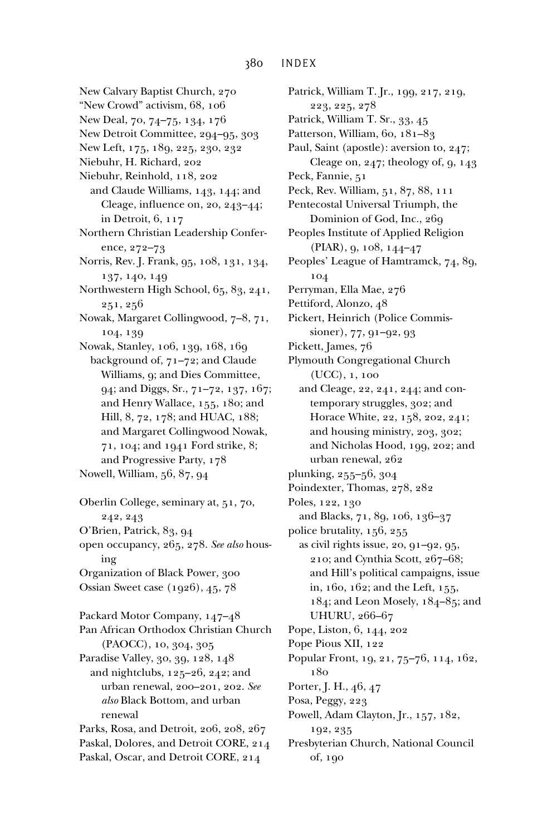New Calvary Baptist Church, 270 "New Crowd" activism, 68, 106 New Deal, 70, 74–75, 134, 176 New Detroit Committee, 294–95, 303 New Left, 175, 189, 225, 230, 232 Niebuhr, H. Richard, 202 Niebuhr, Reinhold, 118, 202 and Claude Williams, 143, 144; and Cleage, influence on, 20,  $243-44$ ; in Detroit, 6, 117 Northern Christian Leadership Conference, 272–73 Norris, Rev. J. Frank, 95, 108, 131, 134, 137, 140, 149 Northwestern High School, 65, 83, 241, 251, 256 Nowak, Margaret Collingwood, 7–8, 71, 104, 139 Nowak, Stanley, 106, 139, 168, 169 background of, 71–72; and Claude Williams, 9; and Dies Committee, 94; and Diggs, Sr., 71–72, 137, 167; and Henry Wallace, 155, 180; and Hill, 8, 72, 178; and HUAC, 188; and Margaret Collingwood Nowak, 71, 104; and 1941 Ford strike, 8; and Progressive Party, 178 Nowell, William, 56, 87, 94 Oberlin College, seminary at, 51, 70, 242, 243 O'Brien, Patrick, 83, 94 open occupancy, 265, 278. *See also* housing Organization of Black Power, 300 Ossian Sweet case (1926), 45, 78 Packard Motor Company, 147–48 Pan African Orthodox Christian Church (PAOCC), 10, 304, 305 Paradise Valley, 30, 39, 128, 148 and nightclubs, 125–26, 242; and urban renewal, 200–201, 202. *See also* Black Bottom, and urban renewal Parks, Rosa, and Detroit, 206, 208, 267 Paskal, Dolores, and Detroit CORE, 214 Paskal, Oscar, and Detroit CORE, 214

Patrick, William T. Jr., 199, 217, 219, 223, 225, 278 Patrick, William T. Sr., 33, 45 Patterson, William, 60, 181-83 Paul, Saint (apostle): aversion to, 247; Cleage on,  $247$ ; theology of,  $9, 143$ Peck, Fannie, 51 Peck, Rev. William, 51, 87, 88, 111 Pentecostal Universal Triumph, the Dominion of God, Inc., 269 Peoples Institute of Applied Religion (PIAR), 9, 108, 144–47 Peoples' League of Hamtramck, 74, 89, 104 Perryman, Ella Mae, 276 Pettiford, Alonzo, 48 Pickert, Heinrich (Police Commissioner), 77, 91–92, 93 Pickett, James, 76 Plymouth Congregational Church (UCC), 1, 100 and Cleage, 22, 241, 244; and contemporary struggles, 302; and Horace White, 22, 158, 202, 241; and housing ministry, 203, 302; and Nicholas Hood, 199, 202; and urban renewal, 262 plunking, 255–56, 304 Poindexter, Thomas, 278, 282 Poles, 122, 130 and Blacks, 71, 89, 106, 136–37 police brutality, 156, 255 as civil rights issue, 20, 91–92, 95, 210; and Cynthia Scott, 267–68; and Hill's political campaigns, issue in, 160, 162; and the Left, 155, 184; and Leon Mosely, 184–85; and UHURU, 266–67 Pope, Liston, 6, 144, 202 Pope Pious XII, 122 Popular Front, 19, 21, 75–76, 114, 162, 180 Porter, J. H., 46, 47 Posa, Peggy, 223 Powell, Adam Clayton, Jr., 157, 182, 192, 235 Presbyterian Church, National Council of, 190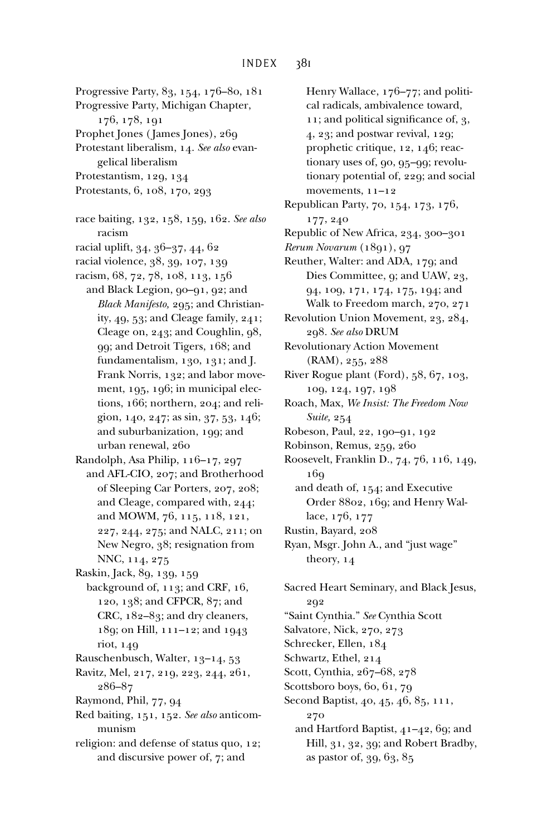- Progressive Party, 83, 154, 176–80, 181
- Progressive Party, Michigan Chapter, 176, 178, 191
- Prophet Jones ( James Jones), 269
- Protestant liberalism, 14. *See also* evangelical liberalism
- Protestantism, 129, 134
- Protestants, 6, 108, 170, 293
- race baiting, 132, 158, 159, 162. *See also* racism
- racial uplift, 34, 36–37, 44, 62
- racial violence, 38, 39, 107, 139
- racism, 68, 72, 78, 108, 113, 156
	- and Black Legion, 90–91, 92; and *Black Manifesto,* 295; and Christianity, 49, 53; and Cleage family, 241; Cleage on, 243; and Coughlin, 98, 99; and Detroit Tigers, 168; and fundamentalism, 130, 131; and J. Frank Norris, 132; and labor movement, 195, 196; in municipal elections, 166; northern, 204; and religion, 140, 247; as sin, 37, 53, 146; and suburbanization, 199; and urban renewal, 260
- Randolph, Asa Philip, 116–17, 297 and AFL-CIO, 207; and Brotherhood of Sleeping Car Porters, 207, 208; and Cleage, compared with, 244; and MOWM, 76, 115, 118, 121, 227, 244, 275; and NALC, 211; on New Negro, 38; resignation from NNC, 114, 275
- Raskin, Jack, 89, 139, 159
- background of, 113; and CRF, 16, 120, 138; and CFPCR, 87; and CRC, 182–83; and dry cleaners, 189; on Hill, 111–12; and 1943 riot, 149
- Rauschenbusch, Walter, 13–14, 53
- Ravitz, Mel, 217, 219, 223, 244, 261, 286–87
- Raymond, Phil, 77, 94
- Red baiting, 151, 152. *See also* anticommunism
- religion: and defense of status quo, 12; and discursive power of, 7; and

Henry Wallace, 176–77; and political radicals, ambivalence toward, 11; and political significance of,  $3$ , 4, 23; and postwar revival, 129; prophetic critique, 12, 146; reactionary uses of, 90, 95–99; revolutionary potential of, 229; and social movements, 11–12 Republican Party, 70, 154, 173, 176, 177, 240 Republic of New Africa, 234, 300–301 *Rerum Novarum* (1891), 97 Reuther, Walter: and ADA, 179; and Dies Committee, 9; and UAW, 23, 94, 109, 171, 174, 175, 194; and Walk to Freedom march, 270, 271 Revolution Union Movement, 23, 284, 298. *See also* DRUM Revolutionary Action Movement (RAM), 255, 288 River Rogue plant (Ford), 58, 67, 103, 109, 124, 197, 198 Roach, Max, *We Insist: The Freedom Now Suite,* 254 Robeson, Paul, 22, 190–91, 192 Robinson, Remus, 259, 260 Roosevelt, Franklin D., 74, 76, 116, 149, 169

- and death of, 154; and Executive Order 8802, 169; and Henry Wallace, 176, 177
- Rustin, Bayard, 208
- Ryan, Msgr. John A., and "just wage" theory, 14
- Sacred Heart Seminary, and Black Jesus, 292 "Saint Cynthia." *See* Cynthia Scott Salvatore, Nick, 270, 273 Schrecker, Ellen, 184 Schwartz, Ethel, 214 Scott, Cynthia, 267–68, 278 Scottsboro boys, 60, 61, 79
- Second Baptist, 40, 45, 46, 85, 111, 270
	- and Hartford Baptist, 41–42, 69; and Hill, 31, 32, 39; and Robert Bradby, as pastor of, 39, 63, 85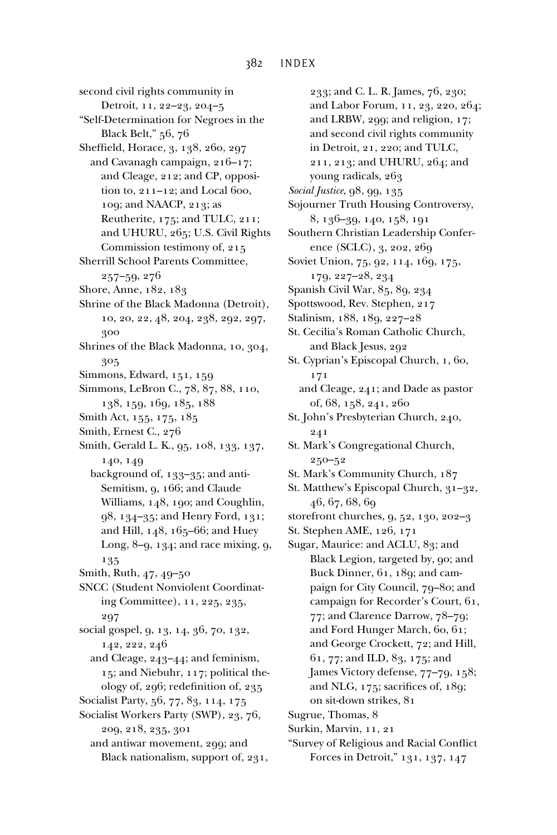second civil rights community in Detroit, 11, 22–23, 204–5 "Self-Determination for Negroes in the Black Belt," 56, 76 Sheffield, Horace, 3, 138, 260, 297 and Cavanagh campaign, 216–17; and Cleage, 212; and CP, opposition to, 211–12; and Local 600, 109; and NAACP, 213; as Reutherite, 175; and TULC, 211; and UHURU, 265; U.S. Civil Rights Commission testimony of, 215 Sherrill School Parents Committee, 257–59, 276 Shore, Anne, 182, 183 Shrine of the Black Madonna (Detroit), 10, 20, 22, 48, 204, 238, 292, 297, 300 Shrines of the Black Madonna, 10, 304, 305 Simmons, Edward, 151, 159 Simmons, LeBron C., 78, 87, 88, 110, 138, 159, 169, 185, 188 Smith Act, 155, 175, 185 Smith, Ernest C., 276 Smith, Gerald L. K., 95, 108, 133, 137, 140, 149 background of, 133–35; and anti-Semitism, 9, 166; and Claude Williams, 148, 190; and Coughlin, 98, 134–35; and Henry Ford, 131; and Hill, 148, 165–66; and Huey Long, 8–9, 134; and race mixing, 9, 135 Smith, Ruth, 47, 49–50 SNCC (Student Nonviolent Coordinating Committee), 11, 225, 235, 297 social gospel, 9, 13, 14, 36, 70, 132, 142, 222, 246 and Cleage, 243–44; and feminism, 15; and Niebuhr, 117; political theology of, 296; redefinition of, 235 Socialist Party, 56, 77, 83, 114, 175 Socialist Workers Party (SWP), 23, 76, 209, 218, 235, 301 and antiwar movement, 299; and Black nationalism, support of, 231,

233; and C. L. R. James, 76, 230; and Labor Forum, 11, 23, 220, 264; and LRBW, 299; and religion, 17; and second civil rights community in Detroit, 21, 220; and TULC, 211, 213; and UHURU, 264; and young radicals, 263 *Social Justice,* 98, 99, 135 Sojourner Truth Housing Controversy, 8, 136–39, 140, 158, 191 Southern Christian Leadership Conference (SCLC), 3, 202, 269 Soviet Union, 75, 92, 114, 169, 175, 179, 227–28, 234 Spanish Civil War, 85, 89, 234 Spottswood, Rev. Stephen, 217 Stalinism, 188, 189, 227–28 St. Cecilia's Roman Catholic Church, and Black Jesus, 292 St. Cyprian's Episcopal Church, 1, 60, 171 and Cleage, 241; and Dade as pastor of, 68, 158, 241, 260 St. John's Presbyterian Church, 240, 241 St. Mark's Congregational Church, 250–52 St. Mark's Community Church, 187 St. Matthew's Episcopal Church, 31–32, 46, 67, 68, 69 storefront churches, 9, 52, 130, 202–3 St. Stephen AME, 126, 171 Sugar, Maurice: and ACLU, 83; and Black Legion, targeted by, 90; and Buck Dinner, 61, 189; and campaign for City Council, 79–80; and campaign for Recorder's Court, 61, 77; and Clarence Darrow, 78–79; and Ford Hunger March, 60, 61; and George Crockett, 72; and Hill, 61, 77; and ILD, 83, 175; and James Victory defense, 77–79, 158; and NLG,  $175$ ; sacrifices of,  $189$ ; on sit-down strikes, 81 Sugrue, Thomas, 8 Surkin, Marvin, 11, 21 "Survey of Religious and Racial Conflict Forces in Detroit," 131, 137, 147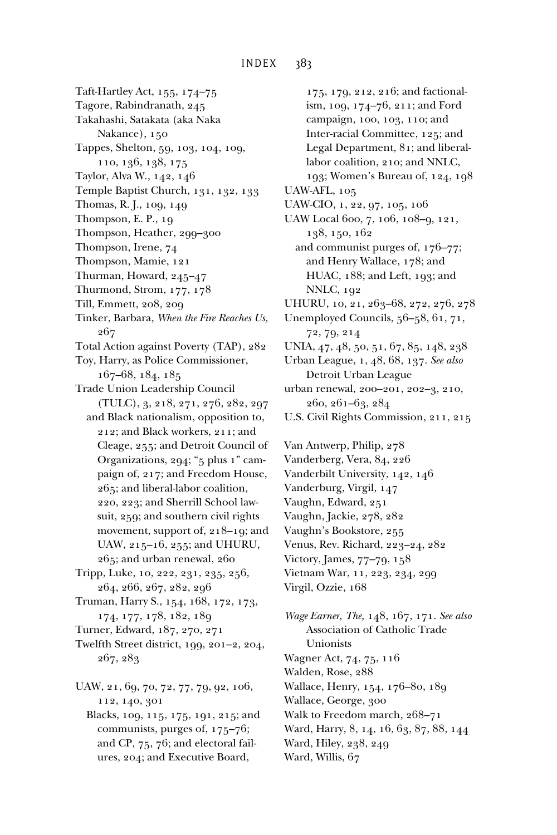Taft-Hartley Act, 155, 174–75

- Tagore, Rabindranath, 245
- Takahashi, Satakata (aka Naka
- Nakance), 150
- Tappes, Shelton, 59, 103, 104, 109, 110, 136, 138, 175
- Taylor, Alva W., 142, 146
- Temple Baptist Church, 131, 132, 133
- Thomas, R. J., 109, 149
- Thompson, E. P., 19
- Thompson, Heather, 299–300
- Thompson, Irene, 74
- Thompson, Mamie, 121
- Thurman, Howard, 245–47
- Thurmond, Strom, 177, 178
- Till, Emmett, 208, 209
- Tinker, Barbara, *When the Fire Reaches Us,* 267
- Total Action against Poverty (TAP), 282
- Toy, Harry, as Police Commissioner, 167–68, 184, 185
- Trade Union Leadership Council (TULC), 3, 218, 271, 276, 282, 297
- and Black nationalism, opposition to, 212; and Black workers, 211; and Cleage, 255; and Detroit Council of Organizations, 294; "5 plus 1" campaign of, 217; and Freedom House, 265; and liberal-labor coalition, 220, 223; and Sherrill School lawsuit, 259; and southern civil rights movement, support of, 218–19; and UAW, 215–16, 255; and UHURU, 265; and urban renewal, 260
- Tripp, Luke, 10, 222, 231, 235, 256, 264, 266, 267, 282, 296
- Truman, Harry S., 154, 168, 172, 173, 174, 177, 178, 182, 189
- Turner, Edward, 187, 270, 271
- Twelfth Street district, 199, 201–2, 204, 267, 283
- UAW, 21, 69, 70, 72, 77, 79, 92, 106, 112, 140, 301
	- Blacks, 109, 115, 175, 191, 215; and communists, purges of, 175–76; and CP, 75, 76; and electoral failures, 204; and Executive Board,

175, 179, 212, 216; and factionalism, 109, 174–76, 211; and Ford campaign, 100, 103, 110; and Inter-racial Committee, 125; and Legal Department, 81; and liberallabor coalition, 210; and NNLC, 193; Women's Bureau of, 124, 198 UAW-AFL, 105 UAW-CIO, 1, 22, 97, 105, 106 UAW Local 600, 7, 106, 108–9, 121, 138, 150, 162 and communist purges of, 176–77; and Henry Wallace, 178; and HUAC, 188; and Left, 193; and NNLC, 192 UHURU, 10, 21, 263-68, 272, 276, 278 Unemployed Councils, 56–58, 61, 71, 72, 79, 214 UNIA, 47, 48, 50, 51, 67, 85, 148, 238 Urban League, 1, 48, 68, 137. *See also* Detroit Urban League urban renewal, 200–201, 202–3, 210, 260, 261–63, 284

U.S. Civil Rights Commission, 211, 215

Van Antwerp, Philip, 278 Vanderberg, Vera, 84, 226 Vanderbilt University, 142, 146 Vanderburg, Virgil, 147 Vaughn, Edward, 251 Vaughn, Jackie, 278, 282 Vaughn's Bookstore, 255 Venus, Rev. Richard, 223–24, 282 Victory, James, 77–79, 158 Vietnam War, 11, 223, 234, 299 Virgil, Ozzie, 168

*Wage Earner, The,* 148, 167, 171. *See also* Association of Catholic Trade Unionists Wagner Act, 74, 75, 116 Walden, Rose, 288 Wallace, Henry, 154, 176–80, 189 Wallace, George, 300 Walk to Freedom march, 268–71 Ward, Harry, 8, 14, 16, 63, 87, 88, 144 Ward, Hiley, 238, 249 Ward, Willis, 67